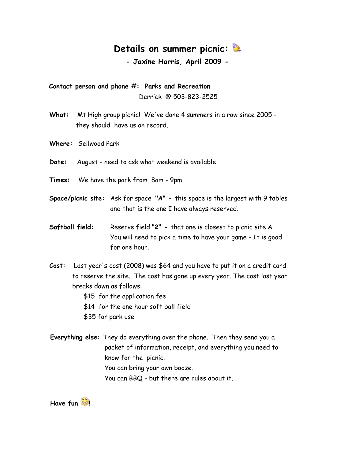## **Details on summer picnic:**

**- Jaxine Harris, April 2009 -**

 **Contact person and phone #: Parks and Recreation** Derrick @ 503-823-2525

- **What:** Mt High group picnic! We've done 4 summers in a row since 2005 they should have us on record.
- **Where:** Sellwood Park
- **Date:** August need to ask what weekend is available
- **Times:** We have the park from 8am 9pm
- **Space/picnic site:** Ask for space **"A" -** this space is the largest with 9 tables and that is the one I have always reserved.
- **Softball field:** Reserve field "**2" -** that one is closest to picnic site A You will need to pick a time to have your game - It is good for one hour.
- **Cost:** Last year's cost (2008) was \$64 and you have to put it on a credit card to reserve the site. The cost has gone up every year. The cost last year breaks down as follows:

\$15 for the application fee

\$14 for the one hour soft ball field

\$35 for park use

 **Everything else:** They do everything over the phone. Then they send you a packet of information, receipt, and everything you need to know for the picnic. You can bring your own booze. You can BBQ - but there are rules about it.

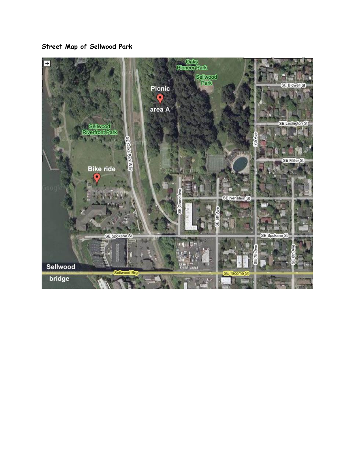**Street Map of Sellwood Park**